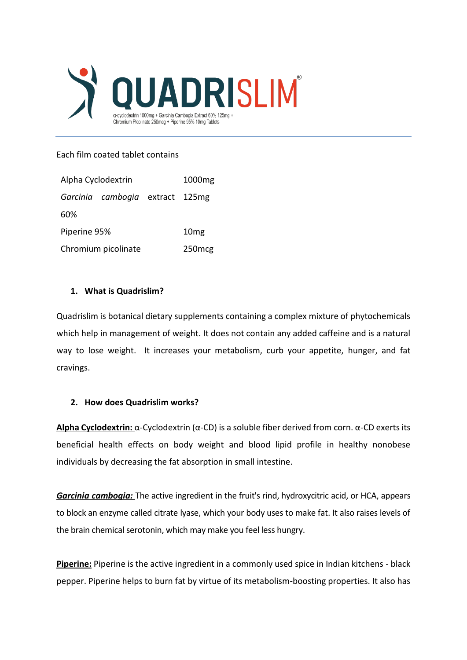

### Each film coated tablet contains

| Alpha Cyclodextrin  |                                 |  | 1000 <sub>mg</sub> |
|---------------------|---------------------------------|--|--------------------|
|                     | Garcinia cambogia extract 125mg |  |                    |
| 60%                 |                                 |  |                    |
| Piperine 95%        |                                 |  | 10 <sub>mg</sub>   |
| Chromium picolinate |                                 |  | 250 <sub>mcg</sub> |

## **1. What is Quadrislim?**

Quadrislim is botanical dietary supplements containing a complex mixture of phytochemicals which help in management of weight. It does not contain any added caffeine and is a natural way to lose weight. It increases your metabolism, curb your appetite, hunger, and fat cravings.

#### **2. How does Quadrislim works?**

**Alpha Cyclodextrin:** α-Cyclodextrin (α-CD) is a soluble fiber derived from corn. α-CD exerts its beneficial health effects on body weight and blood lipid profile in healthy nonobese individuals by decreasing the fat absorption in small intestine.

*Garcinia cambogia:* The active ingredient in the fruit's rind, [hydroxycitric acid,](https://www.webmd.com/diet/obesity/hydroxycitric-acid-hydroxycut) or HCA, appears to block an enzyme called citrate lyase, which your body uses to make fat. It also raises levels of the [brain](https://www.webmd.com/brain/picture-of-the-brain) chemical serotonin, which may make you feel less [hungry.](https://www.webmd.com/diet/features/top-10-ways-to-deal-with-hunger)

**Piperine:** Piperine is the active ingredient in a commonly used spice in Indian kitchens - black pepper. Piperine helps to burn fat by virtue of its metabolism-boosting properties. It also has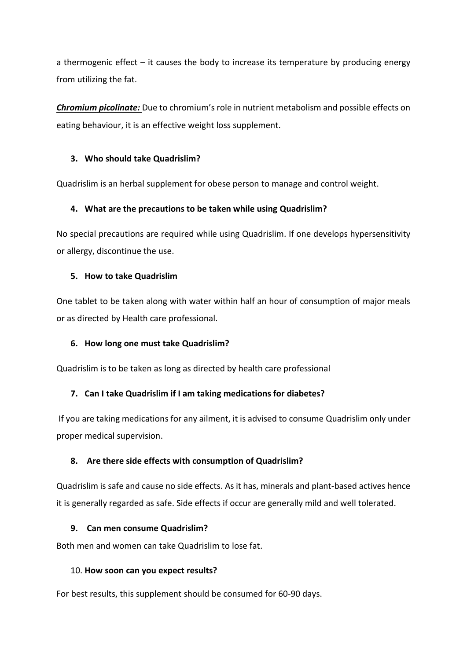a thermogenic effect – it causes the body to increase its temperature by producing energy from utilizing the fat.

*Chromium picolinate:* Due to chromium's role in nutrient metabolism and possible effects on eating behaviour, it is an effective weight loss supplement.

# **3. Who should take Quadrislim?**

Quadrislim is an herbal supplement for obese person to manage and control weight.

## **4. What are the precautions to be taken while using Quadrislim?**

No special precautions are required while using Quadrislim. If one develops hypersensitivity or allergy, discontinue the use.

#### **5. How to take Quadrislim**

One tablet to be taken along with water within half an hour of consumption of major meals or as directed by Health care professional.

#### **6. How long one must take Quadrislim?**

Quadrislim is to be taken as long as directed by health care professional

# **7. Can I take Quadrislim if I am taking medications for diabetes?**

If you are taking medications for any ailment, it is advised to consume Quadrislim only under proper medical supervision.

#### **8. Are there side effects with consumption of Quadrislim?**

Quadrislim is safe and cause no side effects. As it has, minerals and plant-based actives hence it is generally regarded as safe. Side effects if occur are generally mild and well tolerated.

#### **9. Can men consume Quadrislim?**

Both men and women can take Quadrislim to lose fat.

#### 10. **How soon can you expect results?**

For best results, this supplement should be consumed for 60-90 days.